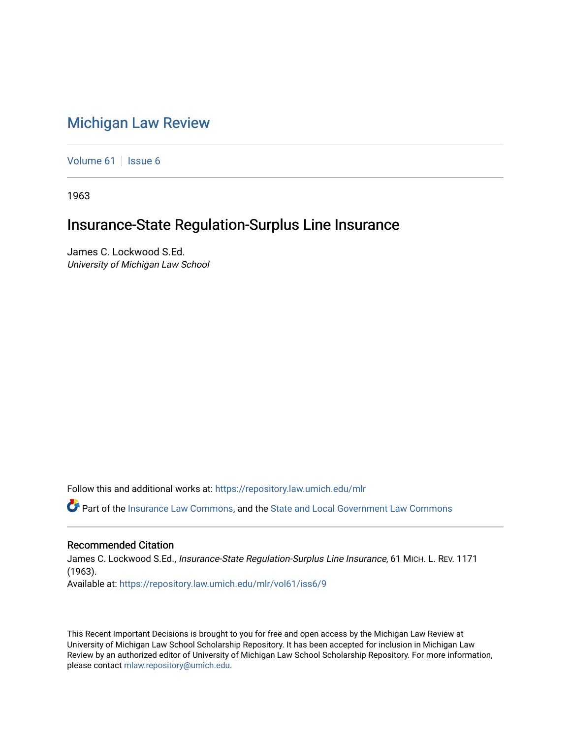## [Michigan Law Review](https://repository.law.umich.edu/mlr)

[Volume 61](https://repository.law.umich.edu/mlr/vol61) | [Issue 6](https://repository.law.umich.edu/mlr/vol61/iss6)

1963

## Insurance-State Regulation-Surplus Line Insurance

James C. Lockwood S.Ed. University of Michigan Law School

Follow this and additional works at: [https://repository.law.umich.edu/mlr](https://repository.law.umich.edu/mlr?utm_source=repository.law.umich.edu%2Fmlr%2Fvol61%2Fiss6%2F9&utm_medium=PDF&utm_campaign=PDFCoverPages) 

Part of the [Insurance Law Commons](http://network.bepress.com/hgg/discipline/607?utm_source=repository.law.umich.edu%2Fmlr%2Fvol61%2Fiss6%2F9&utm_medium=PDF&utm_campaign=PDFCoverPages), and the [State and Local Government Law Commons](http://network.bepress.com/hgg/discipline/879?utm_source=repository.law.umich.edu%2Fmlr%2Fvol61%2Fiss6%2F9&utm_medium=PDF&utm_campaign=PDFCoverPages)

## Recommended Citation

James C. Lockwood S.Ed., Insurance-State Regulation-Surplus Line Insurance, 61 MICH. L. REV. 1171 (1963). Available at: [https://repository.law.umich.edu/mlr/vol61/iss6/9](https://repository.law.umich.edu/mlr/vol61/iss6/9?utm_source=repository.law.umich.edu%2Fmlr%2Fvol61%2Fiss6%2F9&utm_medium=PDF&utm_campaign=PDFCoverPages)

This Recent Important Decisions is brought to you for free and open access by the Michigan Law Review at University of Michigan Law School Scholarship Repository. It has been accepted for inclusion in Michigan Law Review by an authorized editor of University of Michigan Law School Scholarship Repository. For more information, please contact [mlaw.repository@umich.edu.](mailto:mlaw.repository@umich.edu)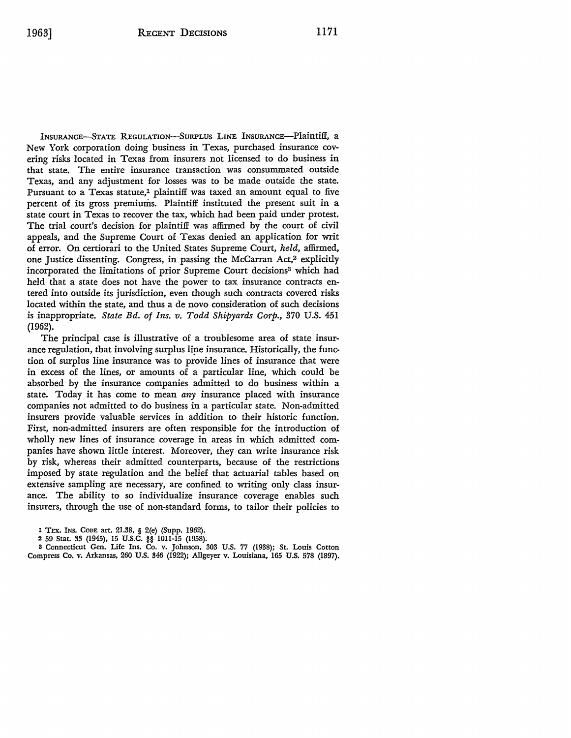INSURANCE-STATE REGULATION-SURPLUS LINE INSURANCE-Plaintiff, a New York corporation doing business in Texas, purchased insurance covering risks located in Texas from insurers not licensed to do business in that state. The entire insurance transaction was consummated outside Texas, and any adjustment for losses was to be made outside the state. Pursuant to a Texas statute,<sup>1</sup> plaintiff was taxed an amount equal to five percent of its gross premiums. Plaintiff instituted the present suit in a state court in Texas to recover the tax, which had been paid under protest. The trial court's decision for plaintiff was affirmed by the court of civil appeals, and the Supreme Court of Texas denied an application for writ of error. On certiorari to the United States Supreme Court, *held,* affirmed, one Justice dissenting. Congress, in passing the McCarran Act,<sup>2</sup> explicitly incorporated the limitations of prior Supreme Court decisions3 which had held that a state does not have the power to tax insurance contracts entered into outside its jurisdiction, even though such contracts covered risks located within the state, and thus a de novo consideration of such decisions is inappropriate. *State Bd. of Ins. v. Todd Shipyards Corp.,* 370 U.S. 451 (1962).

The principal case is illustrative of a troublesome area of state insurance regulation, that involving surplus line insurance. Historically, the function of surplus line insurance was to provide lines of insurance that were in excess of the lines, or amounts of a particular line, which could be absorbed by the insurance companies admitted to do business within a state. Today it has come to mean *any* insurance placed with insurance companies not admitted to do business in a particular state. Non-admitted insurers provide valuable services in addition to their historic function. First, non-admitted insurers are often responsible for the introduction of wholly new lines of insurance coverage in areas in which admitted companies have shown little interest. Moreover, they can write insurance risk by risk, whereas their admitted counterparts, because of the restrictions imposed by state regulation and the belief that actuarial tables based on extensive sampling are necessary, are confined to writing only class insurance. The ability to so individualize insurance coverage enables such insurers, through the use of non-standard forms, to tailor their policies to

2 59 Stat. 33 (1945), 15 U.S.C. §§ 1011-15 (1958).

s Connecticut Gen. Life Ins. Co. v. Johnson, !103 U.S. 77 (1938); St. Louis Cotton Compress Co. v. Arkansas, 260 U.S. 346 (1922); Allgeyer v. Louisiana, 165 U.S. 578 (1897).

<sup>1</sup> TEX. INS. CODE art. 21.38, § 2(e) (Supp. 1962).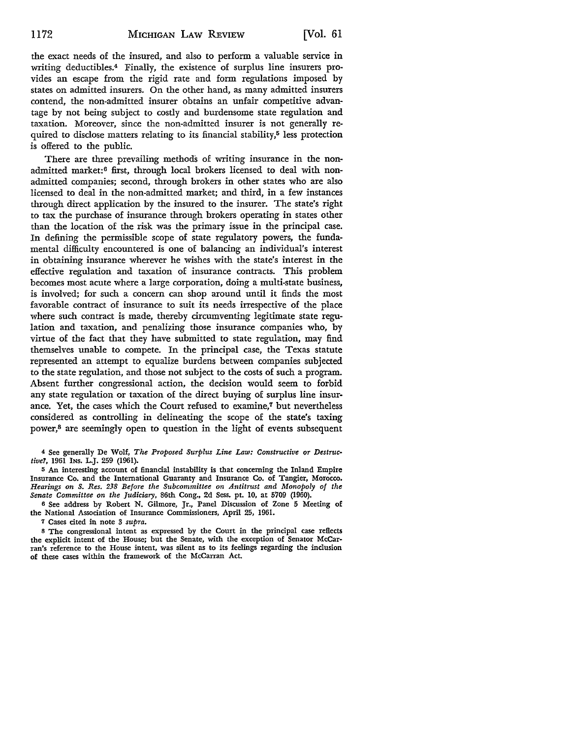the exact needs of the insured, and also to perform a valuable service in writing deductibles.4 Finally, the existence of surplus line insurers provides an escape from the rigid rate and form regulations imposed by states on admitted insurers. On the other hand, as many admitted insurers contend, the non-admitted insurer obtains an unfair competitive advantage by not being subject to costly and burdensome state regulation and taxation. Moreover, since the non-admitted insurer is not generally required to disclose matters relating to its financial stability,<sup>5</sup> less protection is offered to the public.

There are three prevailing methods of writing insurance in the nonadmitted market:<sup>6</sup> first, through local brokers licensed to deal with nonadmitted companies; second, through brokers in other states who are also licensed to deal in the non-admitted market; and third, in a few instances through direct application by the insured to the insurer. The state's right to tax the purchase of insurance through brokers operating in states other than the location of the risk was the primary issue in the principal case. In defining the permissible scope of state regulatory powers, the fundamental difficulty encountered is one of balancing an individual's interest in obtaining insurance wherever he wishes with the state's interest in the effective regulation and taxation of insurance contracts. This problem becomes most acute where a large corporation, doing a multi-state business, is involved; for such a concern can shop around until it finds the most favorable contract of insurance to suit its needs irrespective of the place where such contract is made, thereby circumventing legitimate state regulation and taxation, and penalizing those insurance companies who, by virtue of the fact that they have submitted to state regulation, may find themselves unable to compete. In the principal case, the Texas statute represented an attempt to equalize burdens between companies subjected to the state regulation, and those not subject to the costs of such a program. Absent further congressional action, the decision would seem to forbid any state regulation or taxation of the direct buying of surplus line insurance. Yet, the cases which the Court refused to examine,7 but nevertheless considered as controlling in delineating the scope of the state's taxing power,8 are seemingly open to question in the light of events subsequent

<sup>6</sup>See address by Robert N. Gilmore, Jr., Panel Discussion of Zone 5 Meeting of the National Association of Insurance Commissioners, April 25, 1961.

<sup>7</sup>Cases cited in note 3 *supra.* 

s The congressional intent as expressed by the Court in the principal case reflects the explicit intent of the House; but the Senate, with the exception of Senator McCarran's reference to the House intent, was silent as to its feelings regarding the inclusion of these cases within the framework of the McCarran Act.

<sup>4</sup> See generally De Wolf, *The Proposed Surplus Line Law: Constructive or Destructive?,* 1961 INS. L.J. 259 (1961).

<sup>5</sup>An interesting account of financial instability is that concerning the Inland Empire Insurance Co. and the International Guaranty and Insurance Co. of Tangier, Morocco. *Hearings on S. Res. 238 Before the Subcommittee on Antitrust and Monopoly of the Senate Committee on the Judiciary,* 86th Cong., 2d Sess. pt. 10, at 5709 (1960).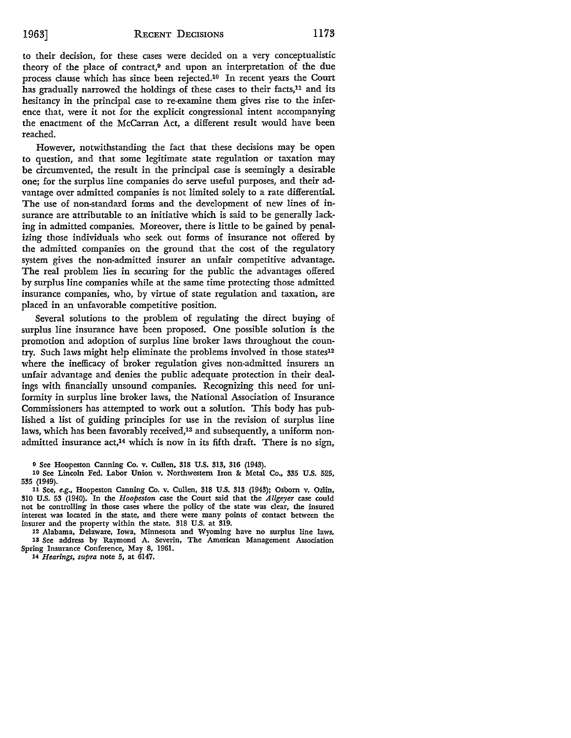to their decision, for these cases were decided on a very conceptualistic theory of the place of contract, $9$  and upon an interpretation of the due process clause which has since been rejected.10 In recent years the Court has gradually narrowed the holdings of these cases to their facts,<sup>11</sup> and its hesitancy in the principal case to re-examine them gives rise to the inference that, were it not for the explicit congressional intent accompanying the enactment of the McCarran Act, a different result would have been reached.

However, notwithstanding the fact that these decisions may be open to question, and that some legitimate state regulation or taxation may be circumvented, the result in the principal case is seemingly a desirable one; for the surplus line companies do serve useful purposes, and their advantage over admitted companies is not limited solely to a rate differential. The use of non-standard forms and the development of new lines of insurance are attributable to an initiative which is said to be generally lacking in admitted companies. Moreover, there is little to be gained by penalizing those individuals who seek out forms of insurance not offered by the admitted companies on the ground that the cost of the regulatory system gives the non-admitted insurer an unfair competitive advantage. The real problem lies in securing for the public the advantages offered by surplus line companies while at the same time protecting those admitted insurance companies, who, by virtue of state regulation and taxation, are placed in an unfavorable competitive position.

Several solutions to the problem of regulating the direct buying of surplus line insurance have been proposed. One possible solution is the promotion and adoption of surplus line broker laws throughout the country. Such laws might help eliminate the problems involved in those states12 where the inefficacy of broker regulation gives non-admitted insurers an unfair advantage and denies the public adequate protection in their dealings with financially unsound companies. Recognizing this need for uniformity in surplus line broker laws, the National Association of Insurance Commissioners has attempted to work out a solution. This body has published a list of guiding principles for use in the revision of surplus line laws, which has been favorably received,<sup>13</sup> and subsequently, a uniform nonadmitted insurance  $act^{14}$  which is now in its fifth draft. There is no sign,

9 See Hoopeston Canning Co. v. Cullen, 318 U.S. 313, 316 (1943).

10 See Lincoln Fed. Labor Union v. Northwestern Iron &: Metal Co., 335 U.S. 525, 535 (1949).

12 Alabama, Delaware, Iowa, Minnesota and Wyoming have no surplus line laws. 13 See address by Raymond A. Severin, The American Management Association Spring Insurance Conference, May 8, 1961.

14 *Hearings, supra* note 5, at 6147.

<sup>11</sup> See, *e.g.,* Hoopeston Canning Co. v. Cullen, 318 U.S. 313 (1943); Osborn v. Ozlin, 310 U.S. 53 (1940). In the *Hoopeston* case the Court said that the *Allgeyer* case could not be controlling in those cases where the policy of the state was clear, the insured interest was located in the state, and there were many points of contact between the insurer and the property within the state. 318 U.S. at 319.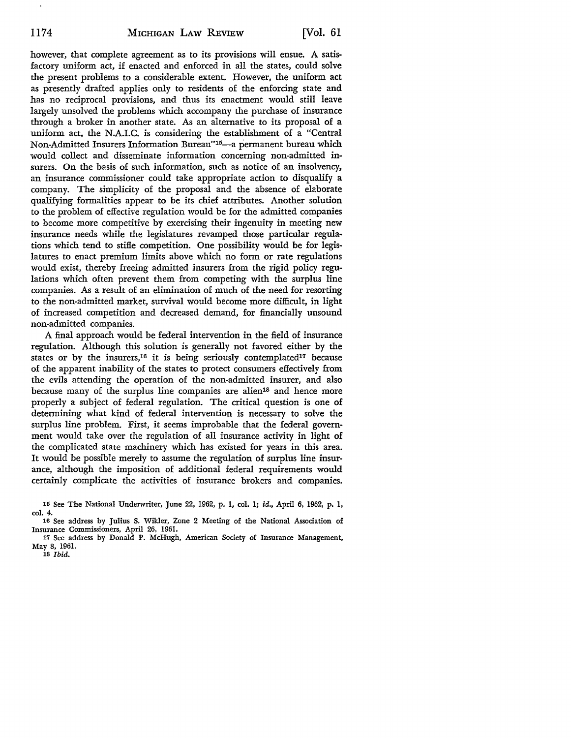however, that complete agreement as to its provisions will ensue. A satisfactory uniform act, if enacted and enforced in all the states, could solve the present problems to a considerable extent. However, the uniform act as presently drafted applies only to residents of the enforcing state and has no reciprocal provisions, and thus its enactment would still leave largely unsolved the problems which accompany the purchase of insurance through a broker in another state. As an alternative to its proposal of a uniform act, the N.A.I.C. is considering the establishment of a "Central Non~Admitted Insurers Information Bureau"15-a permanent bureau which would collect and disseminate information concerning non-admitted insurers. On the basis of such information, such as notice of an insolvency, an insurance commissioner could take appropriate action to disqualify a company. The simplicity of the proposal and the absence of elaborate qualifying formalities appear to be its chief attributes. Another solution to the problem of effective regulation would be for the admitted companies to become more competitive by exercising their ingenuity in meeting new insurance needs while the legislatures revamped those particular regulations which tend to stifle competition. One possibility would be for legislatures to enact premium limits above which no form or rate regulations would exist, thereby freeing admitted insurers from the rigid policy regulations which often prevent them from competing with the surplus line companies. As a result of an elimination of much of the need for resorting to the non-admitted market, survival would become more difficult, in light of increased competition and decreased demand, for financially unsound non-admitted companies.

A final approach would be federal intervention in the field of insurance regulation. Although this solution is generally not favored either by the states or by the insurers,<sup>16</sup> it is being seriously contemplated<sup>17</sup> because of the apparent inability of the states to protect consumers effectively from the evils attending the operation of the non-admitted insurer, and also because many of the surplus line companies are alien<sup>18</sup> and hence more properly a subject of federal regulation. The critical question is one of determining what kind of federal intervention is necessary to solve the surplus line problem. First, it seems improbable that the federal government would take over the regulation of all insurance activity in light of the complicated state machinery which has existed for years in this area. It would be possible merely to assume the regulation of surplus line insurance, although the imposition of additional federal requirements would certainly complicate the activities of insurance brokers and companies.

<sup>15</sup> See The National Underwriter, June 22, 1962, p. 1, col. 1; id., April 6, 1962, p. 1, col. 4.

<sup>16</sup> See address by Julius S. Wikler, Zone 2 Meeting of the National Association of Insurance Commissioners, April 26, 1961.

<sup>17</sup> See address by Donald P. McHugh, American Society of Insurance Management, May 8, 1961.

<sup>1</sup>s *Ibid.*